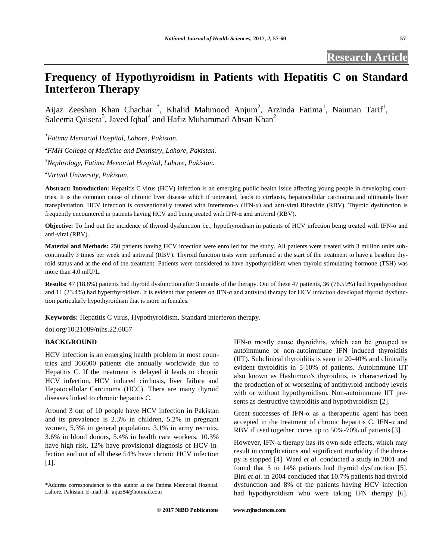# **Frequency of Hypothyroidism in Patients with Hepatitis C on Standard Interferon Therapy**

Aijaz Zeeshan Khan Chachar<sup>1,\*</sup>, Khalid Mahmood Anjum<sup>2</sup>, Arzinda Fatima<sup>1</sup>, Nauman Tarif<sup>1</sup>, Saleema Qaisera<sup>3</sup>, Javed Iqbal<sup>4</sup> and Hafiz Muhammad Ahsan Khan<sup>2</sup>

*<sup>1</sup>Fatima Memorial Hospital, Lahore, Pakistan. <sup>2</sup>FMH College of Medicine and Dentistry, Lahore, Pakistan. <sup>3</sup>Nephrology, Fatima Memorial Hospital, Lahore, Pakistan.*

*<sup>4</sup>Virtual University, Pakistan.*

**Abstract: Introduction:** Hepatitis C virus (HCV) infection is an emerging public health issue affecting young people in developing countries. It is the common cause of chronic liver disease which if untreated, leads to cirrhosis, hepatocellular carcinoma and ultimately liver transplantation. HCV infection is conventionally treated with Interferon-α (IFN-α) and anti-viral Ribavirin (RBV). Thyroid dysfunction is frequently encountered in patients having HCV and being treated with IFN-α and antiviral (RBV).

**Objective:** To find out the incidence of thyroid dysfunction *i.e.,* hypothyroidism in patients of HCV infection being treated with IFN-α and anti-viral (RBV).

**Material and Methods:** 250 patients having HCV infection were enrolled for the study. All patients were treated with 3 million units subcontinually 3 times per week and antiviral (RBV). Thyroid function tests were performed at the start of the treatment to have a baseline thyroid status and at the end of the treatment. Patients were considered to have hypothyroidism when thyroid stimulating hormone (TSH) was more than 4.0 mIU/L.

**Results:** 47 (18.8%) patients had thyroid dysfunction after 3 months of the therapy. Out of these 47 patients, 36 (76.59%) had hypothyroidism and 11 (23.4%) had hyperthyroidism. It is evident that patients on IFN-α and antiviral therapy for HCV infection developed thyroid dysfunction particularly hypothyroidism that is more in females.

**Keywords:** Hepatitis C virus, Hypothyroidism, Standard interferon therapy.

doi.org/10.21089/njhs.22.0057

## **BACKGROUND**

HCV infection is an emerging health problem in most countries and 366000 patients die annually worldwide due to Hepatitis C. If the treatment is delayed it leads to chronic HCV infection, HCV induced cirrhosis, liver failure and Hepatocellular Carcinoma (HCC). There are many thyroid diseases linked to chronic hepatitis C.

Around 3 out of 10 people have HCV infection in Pakistan and its prevalence is 2.3% in children, 5.2% in pregnant women, 5.3% in general population, 3.1% in army recruits, 3.6% in blood donors, 5.4% in health care workers, 10.3% have high risk, 12% have provisional diagnosis of HCV infection and out of all these 54% have chronic HCV infection [1].

IFN- $\alpha$  mostly cause thyroiditis, which can be grouped as autoimmune or non-autoimmune IFN induced thyroiditis (IIT). Subclinical thyroiditis is seen in 20-40% and clinically evident thyroiditis in 5-10% of patients. Autoimmune IIT also known as Hashimoto's thyroiditis, is characterized by the production of or worsening of antithyroid antibody levels with or without hypothyroidism. Non-autoimmune IIT presents as destructive thyroiditis and hypothyroidism [2].

Great successes of IFN- $\alpha$  as a therapeutic agent has been accepted in the treatment of chronic hepatitis C. IFN- $\alpha$  and RBV if used together, cures up to 50%-70% of patients [3].

However, IFN- $\alpha$  therapy has its own side effects, which may result in complications and significant morbidity if the therapy is stopped [4]. Ward *et al.* conducted a study in 2001 and found that 3 to 14% patients had thyroid dysfunction [5]. Bini *et al.* in 2004 concluded that 10.7% patients had thyroid dysfunction and 8% of the patients having HCV infection had hypothyroidism who were taking IFN therapy [6].

<sup>\*</sup>Address correspondence to this author at the Fatima Memorial Hospital, Lahore, Pakistan. E-mail: dr\_aijaz84@hotmail.com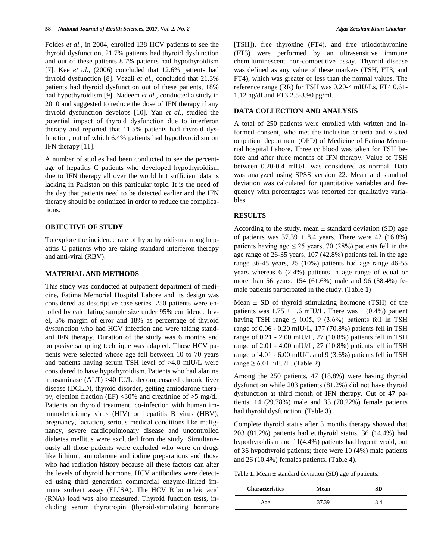Foldes *et al.,* in 2004, enrolled 138 HCV patients to see the thyroid dysfunction, 21.7% patients had thyroid dysfunction and out of these patients 8.7% patients had hypothyroidism [7]. Kee *et al.,* (2006) concluded that 12.6% patients had thyroid dysfunction [8]. Vezali *et al.,* concluded that 21.3% patients had thyroid dysfunction out of these patients, 18% had hypothyroidism [9]. Nadeem *et al.,* conducted a study in 2010 and suggested to reduce the dose of IFN therapy if any thyroid dysfunction develops [10]. Yan *et al.*, studied the potential impact of thyroid dysfunction due to interferon therapy and reported that 11.5% patients had thyroid dysfunction, out of which 6.4% patients had hypothyroidism on IFN therapy [11].

A number of studies had been conducted to see the percentage of hepatitis C patients who developed hypothyroidism due to IFN therapy all over the world but sufficient data is lacking in Pakistan on this particular topic. It is the need of the day that patients need to be detected earlier and the IFN therapy should be optimized in order to reduce the complications.

## **OBJECTIVE OF STUDY**

To explore the incidence rate of hypothyroidism among hepatitis C patients who are taking standard interferon therapy and anti-viral (RBV).

#### **MATERIAL AND METHODS**

This study was conducted at outpatient department of medicine, Fatima Memorial Hospital Lahore and its design was considered as descriptive case series. 250 patients were enrolled by calculating sample size under 95% confidence level, 5% margin of error and 18% as percentage of thyroid dysfunction who had HCV infection and were taking standard IFN therapy. Duration of the study was 6 months and purposive sampling technique was adapted. Those HCV patients were selected whose age fell between 10 to 70 years and patients having serum TSH level of >4.0 mlU/L were considered to have hypothyroidism. Patients who had alanine transaminase (ALT) >40 IU/L, decompensated chronic liver disease (DCLD), thyroid disorder, getting amiodarone therapy, ejection fraction (EF) <30% and creatinine of >5 mg/dl. Patients on thyroid treatment, co-infection with human immunodeficiency virus (HIV) or hepatitis B virus (HBV), pregnancy, lactation, serious medical conditions like malignancy, severe cardiopulmonary disease and uncontrolled diabetes mellitus were excluded from the study. Simultaneously all those patients were excluded who were on drugs like lithium, amiodarone and iodine preparations and those who had radiation history because all these factors can alter the levels of thyroid hormone. HCV antibodies were detected using third generation commercial enzyme-linked immune sorbent assay (ELISA). The HCV Ribonucleic acid (RNA) load was also measured. Thyroid function tests, including serum thyrotropin (thyroid-stimulating hormone [TSH]), free thyroxine (FT4), and free triiodothyronine (FT3) were performed by an ultrasensitive immune chemiluminescent non-competitive assay. Thyroid disease was defined as any value of these markers (TSH, FT3, and FT4), which was greater or less than the normal values. The reference range (RR) for TSH was 0.20-4 mIU/Ls, FT4 0.61- 1.12 ng/dl and FT3 2.5-3.90 pg/ml.

### **DATA COLLECTION AND ANALYSIS**

A total of 250 patients were enrolled with written and informed consent, who met the inclusion criteria and visited outpatient department (OPD) of Medicine of Fatima Memorial hospital Lahore. Three cc blood was taken for TSH before and after three months of IFN therapy. Value of TSH between 0.20-0.4 mlU/L was considered as normal. Data was analyzed using SPSS version 22. Mean and standard deviation was calculated for quantitative variables and frequency with percentages was reported for qualitative variables.

# **RESULTS**

According to the study, mean  $\pm$  standard deviation (SD) age of patients was  $37.39 \pm 8.4$  years. There were 42 (16.8%) patients having age  $\leq 25$  years, 70 (28%) patients fell in the age range of 26-35 years, 107 (42.8%) patients fell in the age range 36-45 years, 25 (10%) patients had age range 46-55 years whereas 6 (2.4%) patients in age range of equal or more than 56 years. 154 (61.6%) male and 96 (38.4%) female patients participated in the study. (Table **1**)

Mean  $\pm$  SD of thyroid stimulating hormone (TSH) of the patients was  $1.75 \pm 1.6$  mIU/L. There was 1 (0.4%) patient having TSH range  $\leq$  0.05, 9 (3.6%) patients fell in TSH range of 0.06 - 0.20 mIU/L, 177 (70.8%) patients fell in TSH range of 0.21 - 2.00 mIU/L, 27 (10.8%) patients fell in TSH range of 2.01 - 4.00 mIU/L, 27 (10.8%) patients fell in TSH range of 4.01 - 6.00 mIU/L and 9 (3.6%) patients fell in TSH range  $\geq 6.01$  mIU/L. (Table 2).

Among the 250 patients, 47 (18.8%) were having thyroid dysfunction while 203 patients (81.2%) did not have thyroid dysfunction at third month of IFN therapy. Out of 47 patients, 14 (29.78%) male and 33 (70.22%) female patients had thyroid dysfunction. (Table **3**).

Complete thyroid status after 3 months therapy showed that 203 (81.2%) patients had euthyroid status, 36 (14.4%) had hypothyroidism and 11(4.4%) patients had hyperthyroid, out of 36 hypothyroid patients; there were 10 (4%) male patients and 26 (10.4%) females patients. (Table **4**).

Table **1**. Mean ± standard deviation (SD) age of patients.

| <b>Characteristics</b> | Mean |  |
|------------------------|------|--|
| Age                    | 7.39 |  |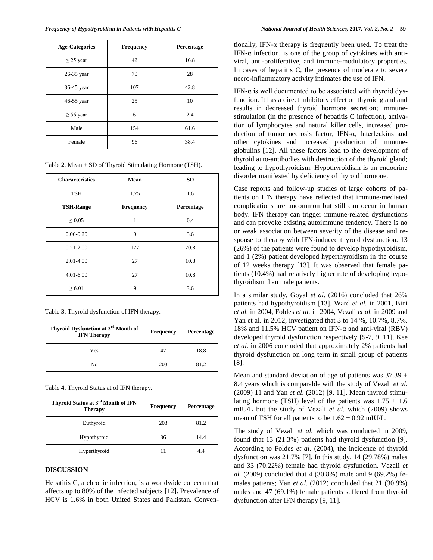| <b>Age-Categories</b> | <b>Frequency</b> | Percentage |
|-----------------------|------------------|------------|
| $\leq$ 25 year        | 42               | 16.8       |
| 26-35 year            | 70               | 28         |
| 36-45 year            | 107              | 42.8       |
| 46-55 year            | 25               | 10         |
| $\geq 56$ year        | 6                | 2.4        |
| Male                  | 154              | 61.6       |
| Female                | 96               | 38.4       |

|  |  | Table 2. Mean $\pm$ SD of Thyroid Stimulating Hormone (TSH). |  |
|--|--|--------------------------------------------------------------|--|
|  |  |                                                              |  |

| <b>Characteristics</b> | Mean             | <b>SD</b>  |  |
|------------------------|------------------|------------|--|
| <b>TSH</b>             | 1.75             | 1.6        |  |
| <b>TSH-Range</b>       | <b>Frequency</b> | Percentage |  |
| $\leq 0.05$            | 1                | 0.4        |  |
| $0.06 - 0.20$          | 9                | 3.6        |  |
| $0.21 - 2.00$          | 177              | 70.8       |  |
| 2.01-4.00              | 27               | 10.8       |  |
| $4.01 - 6.00$          | 27               | 10.8       |  |
| $\geq 6.01$            | 9                | 3.6        |  |

Table **3**. Thyroid dysfunction of IFN therapy.

| Thyroid Dysfunction at 3 <sup>rd</sup> Month of<br><b>IFN</b> Therapy | <b>Frequency</b> | Percentage |
|-----------------------------------------------------------------------|------------------|------------|
| Yes                                                                   |                  | 18.8       |
| No                                                                    | 203              | 81.2       |

Table **4**. Thyroid Status at of IFN therapy.

| Thyroid Status at 3 <sup>rd</sup> Month of IFN<br><b>Therapy</b> | <b>Frequency</b> | Percentage |
|------------------------------------------------------------------|------------------|------------|
| Euthyroid                                                        | 203              | 81.2       |
| Hypothyroid                                                      | 36               | 14.4       |
| Hyperthyroid                                                     |                  | 4.4        |

### **DISCUSSION**

Hepatitis C, a chronic infection, is a worldwide concern that affects up to 80% of the infected subjects [12]. Prevalence of HCV is 1.6% in both United States and Pakistan. Conventionally, IFN- $\alpha$  therapy is frequently been used. To treat the IFN- $\alpha$  infection, is one of the group of cytokines with antiviral, anti-proliferative, and immune-modulatory properties. In cases of hepatitis C, the presence of moderate to severe necro-inflammatory activity intimates the use of IFN.

IFN- $\alpha$  is well documented to be associated with thyroid dysfunction. It has a direct inhibitory effect on thyroid gland and results in decreased thyroid hormone secretion; immunestimulation (in the presence of hepatitis C infection), activation of lymphocytes and natural killer cells, increased production of tumor necrosis factor, IFN-α, Interleukins and other cytokines and increased production of immuneglobulins [12]. All these factors lead to the development of thyroid auto-antibodies with destruction of the thyroid gland; leading to hypothyroidism. Hypothyroidism is an endocrine disorder manifested by deficiency of thyroid hormone.

Case reports and follow-up studies of large cohorts of patients on IFN therapy have reflected that immune-mediated complications are uncommon but still can occur in human body. IFN therapy can trigger immune-related dysfunctions and can provoke existing autoimmune tendency. There is no or weak association between severity of the disease and response to therapy with IFN-induced thyroid dysfunction. 13 (26%) of the patients were found to develop hypothyroidism, and 1 (2%) patient developed hyperthyroidism in the course of 12 weeks therapy [13]. It was observed that female patients (10.4%) had relatively higher rate of developing hypothyroidism than male patients.

In a similar study, Goyal *et al*. (2016) concluded that 26% patients had hypothyroidism [13]. Ward *et al.* in 2001, Bini *et al.* in 2004, Foldes *et al.* in 2004, Vezali *et al.* in 2009 and Yan et al. in 2012, investigated that 3 to 14 %, 10.7%, 8.7%, 18% and 11.5% HCV patient on IFN-α and anti-viral (RBV) developed thyroid dysfunction respectively [5-7, 9, 11]. Kee *et al.* in 2006 concluded that approximately 2% patients had thyroid dysfunction on long term in small group of patients [8].

Mean and standard deviation of age of patients was  $37.39 \pm$ 8.4 years which is comparable with the study of Vezali *et al.* (2009) 11 and Yan *et al.* (2012) [9, 11]. Mean thyroid stimulating hormone (TSH) level of the patients was  $1.75 + 1.6$ mIU/L but the study of Vezali *et al.* which (2009) shows mean of TSH for all patients to be  $1.62 \pm 0.92$  mIU/L.

The study of Vezali *et al.* which was conducted in 2009, found that 13 (21.3%) patients had thyroid dysfunction [9]. According to Foldes *et al.* (2004), the incidence of thyroid dysfunction was 21.7% [7]. In this study, 14 (29.78%) males and 33 (70.22%) female had thyroid dysfunction. Vezali *et al.* (2009) concluded that 4 (30.8%) male and 9 (69.2%) females patients; Yan *et al.* (2012) concluded that 21 (30.9%) males and 47 (69.1%) female patients suffered from thyroid dysfunction after IFN therapy [9, 11].